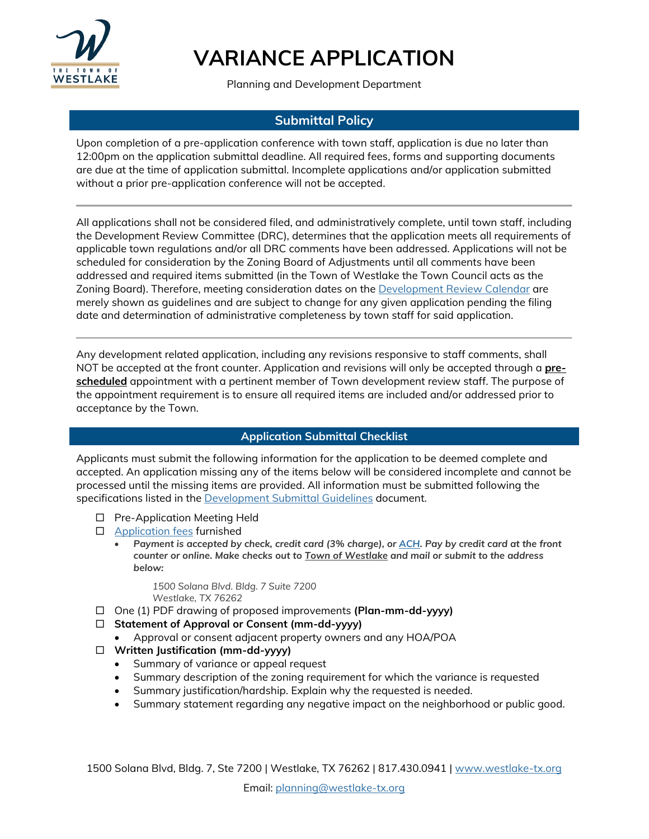

Planning and Development Department

#### **Submittal Policy**

Upon completion of a pre-application conference with town staff, application is due no later than 12:00pm on the application submittal deadline. All required fees, forms and supporting documents are due at the time of application submittal. Incomplete applications and/or application submitted without a prior pre-application conference will not be accepted.

All applications shall not be considered filed, and administratively complete, until town staff, including the Development Review Committee (DRC), determines that the application meets all requirements of applicable town regulations and/or all DRC comments have been addressed. Applications will not be scheduled for consideration by the Zoning Board of Adjustments until all comments have been addressed and required items submitted (in the Town of Westlake the Town Council acts as the Zoning Board). Therefore, meeting consideration dates on the [Development Review Calendar](https://www.westlake-tx.org/DocumentCenter/View/1185/2019-Planning--Zoning-Submittal-Calendar) are merely shown as guidelines and are subject to change for any given application pending the filing date and determination of administrative completeness by town staff for said application.

Any development related application, including any revisions responsive to staff comments, shall NOT be accepted at the front counter. Application and revisions will only be accepted through a **prescheduled** appointment with a pertinent member of Town development review staff. The purpose of the appointment requirement is to ensure all required items are included and/or addressed prior to acceptance by the Town.

#### **Application Submittal Checklist**

Applicants must submit the following information for the application to be deemed complete and accepted. An application missing any of the items below will be considered incomplete and cannot be processed until the missing items are provided. All information must be submitted following the specifications listed in the [Development Submittal Guidelines](http://westlake-tx.org/DocumentCenter/View/3081/Development-Submittal-Guidelines_08302019) document.

- □ Pre-Application Meeting Held
- □ [Application fees](https://westlake-tx.org/DocumentCenter/View/4011) furnished
	- *Payment is accepted by check, credit card (3% charge), o[r ACH.](https://westlake-tx.org/DocumentCenter/View/3808/ACH-One-Time-Payment-Form) Pay by credit card at the front counter or online. Make checks out to Town of Westlake and mail or submit to the address below:*

*1500 Solana Blvd. Bldg. 7 Suite 7200 Westlake, TX 76262*

- One (1) PDF drawing of proposed improvements **(Plan-mm-dd-yyyy)**
- **Statement of Approval or Consent (mm-dd-yyyy)**
	- Approval or consent adjacent property owners and any HOA/POA
- **Written Justification (mm-dd-yyyy)**
	- Summary of variance or appeal request
	- Summary description of the zoning requirement for which the variance is requested
	- Summary justification/hardship. Explain why the requested is needed.
	- Summary statement regarding any negative impact on the neighborhood or public good.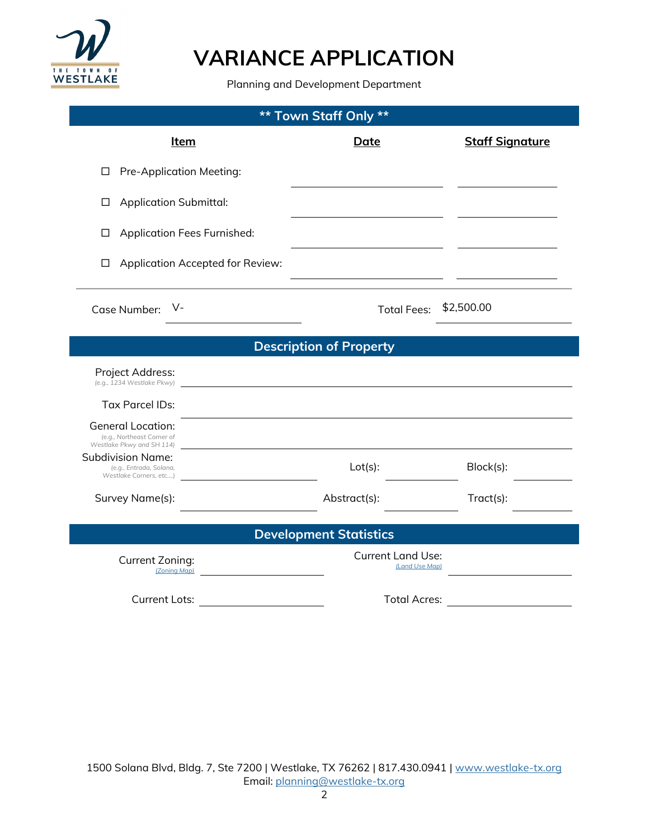

Planning and Development Department

| <b>Town Staff Only **</b><br>$***$                                                  |                                            |                        |
|-------------------------------------------------------------------------------------|--------------------------------------------|------------------------|
| <u>Item</u>                                                                         | <b>Date</b>                                | <b>Staff Signature</b> |
| Pre-Application Meeting:<br>□                                                       |                                            |                        |
| <b>Application Submittal:</b><br>□                                                  |                                            |                        |
| <b>Application Fees Furnished:</b><br>□                                             |                                            |                        |
| Application Accepted for Review:<br>$\Box$                                          |                                            |                        |
| V-<br>Case Number:                                                                  | <b>Total Fees:</b>                         | \$2,500.00             |
| <b>Description of Property</b>                                                      |                                            |                        |
| Project Address:<br>(e.g., 1234 Westlake Pkwy)                                      |                                            |                        |
| <b>Tax Parcel IDs:</b>                                                              |                                            |                        |
| <b>General Location:</b><br>(e.g., Northeast Corner of<br>Westlake Pkwy and SH 114) |                                            |                        |
| Subdivision Name:<br>(e.g., Entrada, Solana,<br>Westlake Corners, etc)              | $Lot(s)$ :                                 | Block(s):              |
| Survey Name(s):                                                                     | Abstract(s):                               | Tract(s):              |
|                                                                                     | <b>Development Statistics</b>              |                        |
| Current Zoning:<br>(Zoning Map)                                                     | <b>Current Land Use:</b><br>(Land Use Map) |                        |
| <b>Current Lots:</b>                                                                | <b>Total Acres:</b>                        |                        |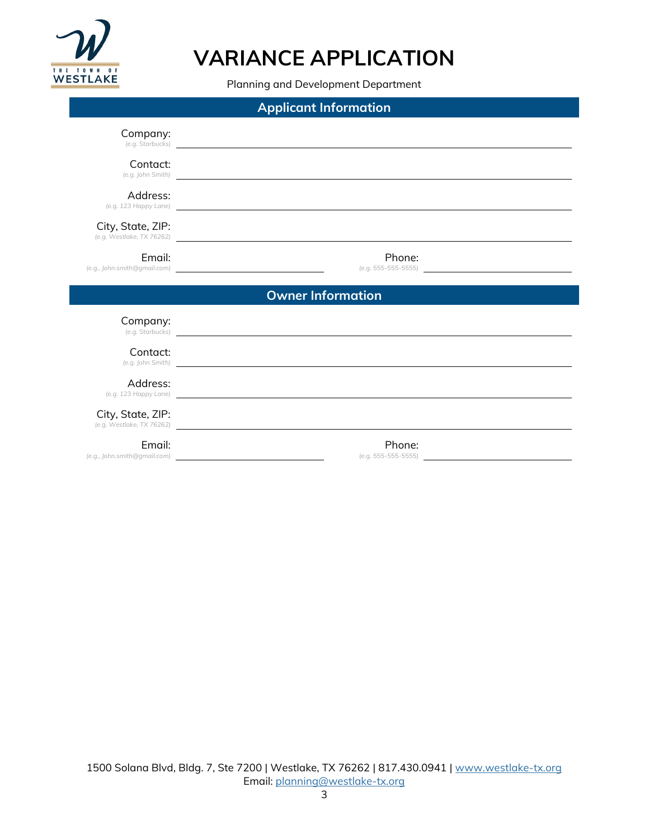

Planning and Development Department

| <b>Applicant Information</b>                                                                               |                                                                                                                                                                                                                                     |
|------------------------------------------------------------------------------------------------------------|-------------------------------------------------------------------------------------------------------------------------------------------------------------------------------------------------------------------------------------|
| Company:                                                                                                   | (e.g. Starbucks) <b>Example 20</b> Starbucks and the contract of the contract of the contract of the contract of the contract of the contract of the contract of the contract of the contract of the contract of the contract of th |
| Contact:<br>(e.g. John Smith)                                                                              |                                                                                                                                                                                                                                     |
| Address:                                                                                                   | (e.g. 123 Happy Lane) <b>Example 2018 Contract Contract Contract Contract Contract Contract Contract Contract Contract Contract Contract Contract Contract Contract Contract Contract Contract Contract Contract Contract Cont</b>  |
| City, State, ZIP:                                                                                          | (e.g. Westlake, TX 76262)                                                                                                                                                                                                           |
| Email:<br>(e.g., John.smith@gmail.com)                                                                     | Phone:<br>$(e.g. 555 - 555 - 5555)$                                                                                                                                                                                                 |
|                                                                                                            | <b>Owner Information</b>                                                                                                                                                                                                            |
| Company:                                                                                                   | (e.g. Starbucks)                                                                                                                                                                                                                    |
| Contact:                                                                                                   | (e.g. John Smith) and the state of the state of the state of the state of the state of the state of the state of the state of the state of the state of the state of the state of the state of the state of the state of the s      |
| Address:                                                                                                   | (e.g. 123 Happy Lane) and the contract of the contract of the contract of the contract of the contract of the contract of the contract of the contract of the contract of the contract of the contract of the contract of the       |
| City, State, ZIP:                                                                                          | (e.g. Westlake, TX 76262)                                                                                                                                                                                                           |
| Email:<br>(e.g., John.smith@gmail.com)<br><u> 1989 - Johann Stein, mars an t-Amerikaansk kommunister (</u> | Phone:<br>(e.g. 555-555-5555)                                                                                                                                                                                                       |